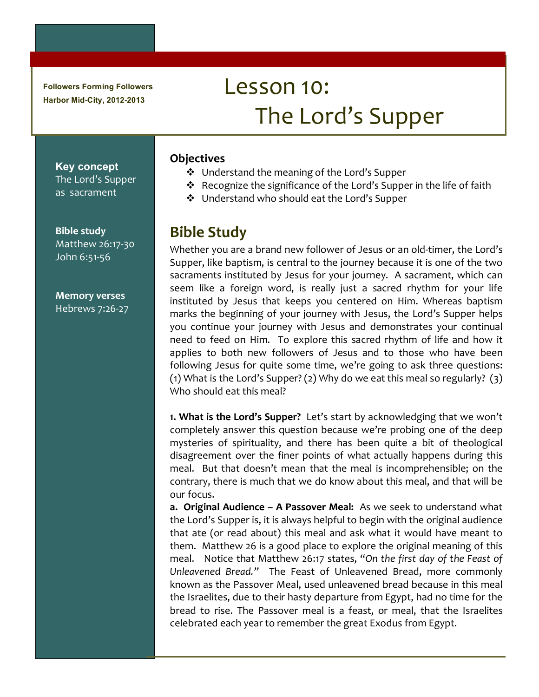**Followers Forming Followers Harbor Mid-City, 2012-2013**

# Lesson 10: The Lord's Supper

## **Objectives**

 $\cdot$  Understand the meaning of the Lord's Supper

- $\cdot$  Recognize the significance of the Lord's Supper in the life of faith
- $\cdot$  Understand who should eat the Lord's Supper

### **Bible!Study**

Whether you are a brand new follower of Jesus or an old-timer, the Lord's Supper, like baptism, is central to the journey because it is one of the two sacraments instituted by Jesus for your journey. A sacrament, which can seem like a foreign word, is really just a sacred rhythm for your life instituted by Jesus that keeps you centered on Him. Whereas baptism marks the beginning of your journey with Jesus, the Lord's Supper helps you continue your journey with Jesus and demonstrates your continual need to feed on Him. To explore this sacred rhythm of life and how it applies to both new followers of Jesus and to those who have been following Jesus for quite some time, we're going to ask three questions: (1) What is the Lord's Supper? (2) Why do we eat this meal so regularly? (3) Who should eat this meal?

**1. What is the Lord's Supper?** Let's start by acknowledging that we won't completely answer this question because we're probing one of the deep mysteries of spirituality, and there has been quite a bit of theological disagreement over the finer points of what actually happens during this meal. But that doesn't mean that the meal is incomprehensible; on the contrary, there is much that we do know about this meal, and that will be our focus.

**a. Original Audience – A Passover Meal:** As we seek to understand what the Lord's Supper is, it is always helpful to begin with the original audience that ate (or read about) this meal and ask what it would have meant to them. Matthew 26 is a good place to explore the original meaning of this meal. Notice that Matthew 26:17 states, "On the first day of the Feast of Unleavened Bread." The Feast of Unleavened Bread, more commonly known as the Passover Meal, used unleavened bread because in this meal the Israelites, due to their hasty departure from Egypt, had no time for the bread to rise. The Passover meal is a feast, or meal, that the Israelites celebrated each year to remember the great Exodus from Egypt.

**Key concept** The Lord's Supper as sacrament

**Bible study** Matthew 26:17-30 John 6:51-56

**Memory!verses** Hebrews 7:26-27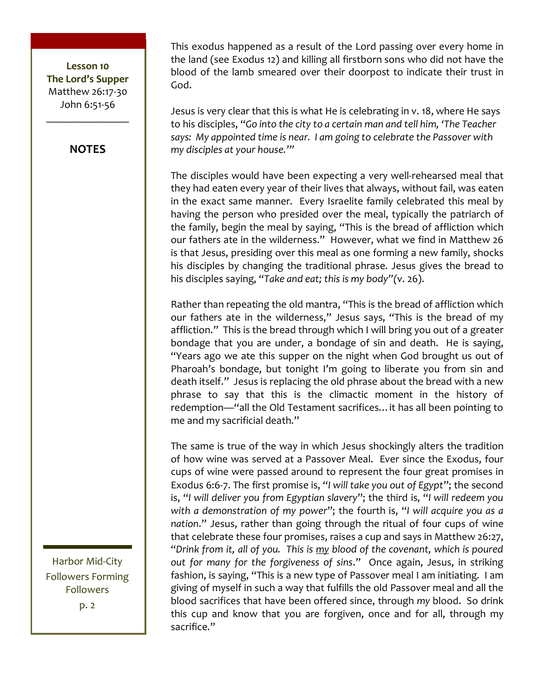#### **NOTES**

This exodus happened as a result of the Lord passing over every home in the land (see Exodus 12) and killing all firstborn sons who did not have the blood of the lamb smeared over their doorpost to indicate their trust in God.

Jesus is very clear that this is what He is celebrating in v. 18, where He says to his disciples, "Go into the city to a certain man and tell him, 'The Teacher says: My appointed time is near. I am going to celebrate the Passover with my disciples at your house.""

The disciples would have been expecting a very well-rehearsed meal that they had eaten every year of their lives that always, without fail, was eaten in the exact same manner. Every Israelite family celebrated this meal by having the person who presided over the meal, typically the patriarch of the family, begin the meal by saying, "This is the bread of affliction which our fathers ate in the wilderness." However, what we find in Matthew 26 is that Jesus, presiding over this meal as one forming a new family, shocks his disciples by changing the traditional phrase. Jesus gives the bread to his disciples saying, "Take and eat; this is my body"(v. 26).

Rather than repeating the old mantra, "This is the bread of affliction which our fathers ate in the wilderness," Jesus says, "This is the bread of my affliction." This is the bread through which I will bring you out of a greater bondage that you are under, a bondage of sin and death. He is saying, "Years ago we ate this supper on the night when God brought us out of Pharoah's bondage, but tonight I'm going to liberate you from sin and death itself." Jesus is replacing the old phrase about the bread with a new phrase to say that this is the climactic moment in the history of redemption-"all the Old Testament sacrifices... it has all been pointing to me and my sacrificial death."

The same is true of the way in which Jesus shockingly alters the tradition of how wine was served at a Passover Meal. Ever since the Exodus, four cups of wine were passed around to represent the four great promises in Exodus 6:6-7. The first promise is, "I will take you out of Egypt"; the second is, "I will deliver you from Egyptian slavery"; the third is, "I will redeem you with a demonstration of my power"; the fourth is, "I will acquire you as a nation." Jesus, rather than going through the ritual of four cups of wine that celebrate these four promises, raises a cup and says in Matthew 26:27, "Drink from it, all of you. This is my blood of the covenant, which is poured out for many for the forgiveness of sins." Once again, Jesus, in striking fashion, is saying, "This is a new type of Passover meal I am initiating. I am giving of myself in such a way that fulfills the old Passover meal and all the blood sacrifices that have been offered since, through my blood. So drink this cup and know that you are forgiven, once and for all, through my sacrifice."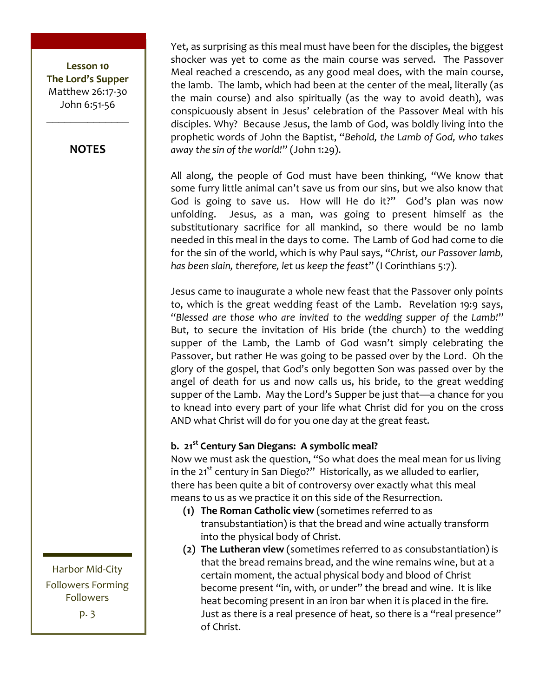#### **NOTES**

Yet, as surprising as this meal must have been for the disciples, the biggest shocker was yet to come as the main course was served. The Passover Meal reached a crescendo, as any good meal does, with the main course, the lamb. The lamb, which had been at the center of the meal, literally (as the main course) and also spiritually (as the way to avoid death), was conspicuously absent in Jesus' celebration of the Passover Meal with his disciples. Why? Because Jesus, the lamb of God, was boldly living into the prophetic words of John the Baptist, "Behold, the Lamb of God, who takes away the sin of the world!" (John 1:29).

All along, the people of God must have been thinking, "We know that some furry little animal can't save us from our sins, but we also know that God is going to save us. How will He do it?" God's plan was now unfolding. Jesus, as a man, was going to present himself as the substitutionary sacrifice for all mankind, so there would be no lamb needed in this meal in the days to come. The Lamb of God had come to die for the sin of the world, which is why Paul says, "Christ, our Passover lamb. has been slain, therefore, let us keep the feast" (I Corinthians 5:7).

Jesus came to inaugurate a whole new feast that the Passover only points to, which is the great wedding feast of the Lamb. Revelation 19:9 says, "Blessed are those who are invited to the wedding supper of the Lamb!" But, to secure the invitation of His bride (the church) to the wedding supper of the Lamb, the Lamb of God wasn't simply celebrating the Passover, but rather He was going to be passed over by the Lord. Oh the glory of the gospel, that God's only begotten Son was passed over by the angel of death for us and now calls us, his bride, to the great wedding supper of the Lamb. May the Lord's Supper be just that—a chance for you to knead into every part of your life what Christ did for you on the cross AND what Christ will do for you one day at the great feast.

#### b. 21<sup>st</sup> Century San Diegans: A symbolic meal?

Now we must ask the question, "So what does the meal mean for us living in the 21<sup>st</sup> century in San Diego?" Historically, as we alluded to earlier, there has been quite a bit of controversy over exactly what this meal means to us as we practice it on this side of the Resurrection.

- (1) The Roman Catholic view (sometimes referred to as transubstantiation) is that the bread and wine actually transform into the physical body of Christ.
- (2) The Lutheran view (sometimes referred to as consubstantiation) is that the bread remains bread, and the wine remains wine, but at a certain moment, the actual physical body and blood of Christ become present "in, with, or under" the bread and wine. It is like heat becoming present in an iron bar when it is placed in the fire. Just as there is a real presence of heat, so there is a "real presence" of Christ.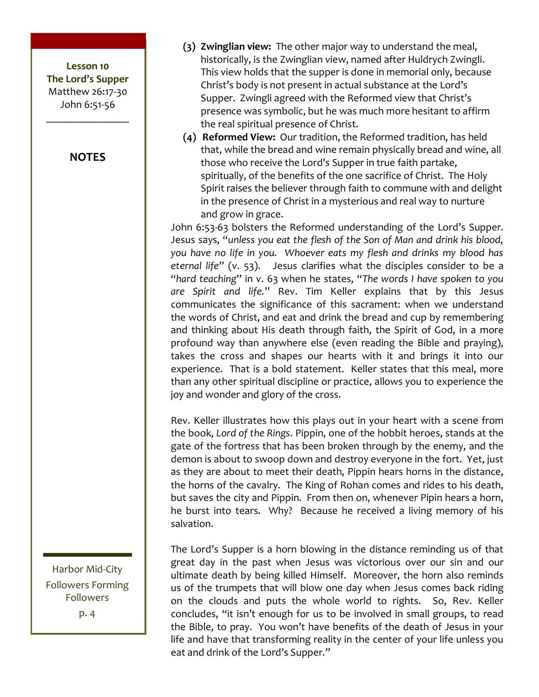#### **NOTES**

(3) Zwinglian view: The other major way to understand the meal, historically, is the Zwinglian view, named after Huldrych Zwingli. This view holds that the supper is done in memorial only, because Christ's body is not present in actual substance at the Lord's Supper. Zwingli agreed with the Reformed view that Christ's presence was symbolic, but he was much more hesitant to affirm the real spiritual presence of Christ.

(4) Reformed View: Our tradition, the Reformed tradition, has held that, while the bread and wine remain physically bread and wine, all those who receive the Lord's Supper in true faith partake, spiritually, of the benefits of the one sacrifice of Christ. The Holy Spirit raises the believer through faith to commune with and delight in the presence of Christ in a mysterious and real way to nurture and grow in grace.

John 6:53-63 bolsters the Reformed understanding of the Lord's Supper. Jesus says, "unless you eat the flesh of the Son of Man and drink his blood, you have no life in you. Whoever eats my flesh and drinks my blood has eternal life" (v. 53). Jesus clarifies what the disciples consider to be a "hard teaching" in v. 63 when he states, "The words I have spoken to you are Spirit and life." Rev. Tim Keller explains that by this Jesus communicates the significance of this sacrament: when we understand the words of Christ, and eat and drink the bread and cup by remembering and thinking about His death through faith, the Spirit of God, in a more profound way than anywhere else (even reading the Bible and praying), takes the cross and shapes our hearts with it and brings it into our experience. That is a bold statement. Keller states that this meal, more than any other spiritual discipline or practice, allows you to experience the joy and wonder and glory of the cross.

Rev. Keller illustrates how this plays out in your heart with a scene from the book, Lord of the Rings. Pippin, one of the hobbit heroes, stands at the gate of the fortress that has been broken through by the enemy, and the demon is about to swoop down and destroy everyone in the fort. Yet, just as they are about to meet their death, Pippin hears horns in the distance, the horns of the cavalry. The King of Rohan comes and rides to his death, but saves the city and Pippin. From then on, whenever Pipin hears a horn, he burst into tears. Why? Because he received a living memory of his salvation.

The Lord's Supper is a horn blowing in the distance reminding us of that great day in the past when Jesus was victorious over our sin and our ultimate death by being killed Himself. Moreover, the horn also reminds us of the trumpets that will blow one day when Jesus comes back riding on the clouds and puts the whole world to rights. So, Rev. Keller concludes, "it isn't enough for us to be involved in small groups, to read the Bible, to pray. You won't have benefits of the death of Jesus in your life and have that transforming reality in the center of your life unless you eat and drink of the Lord's Supper."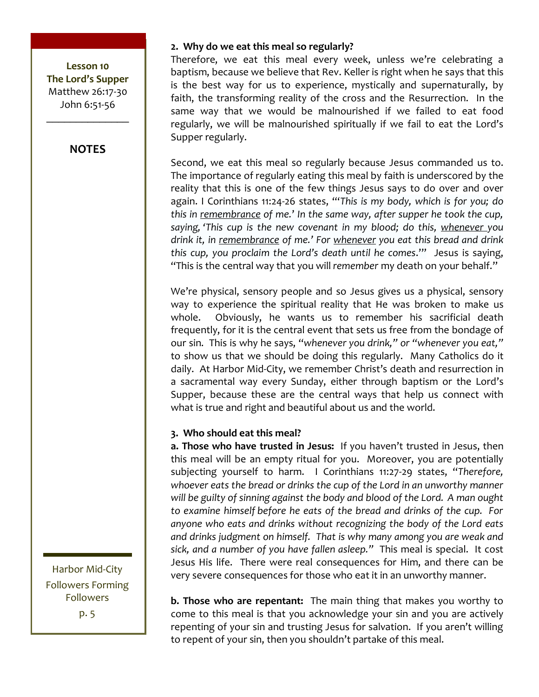#### **NOTES**

Harbor Mid-City **Followers Forming** Followers  $p.5$ 

#### 2. Why do we eat this meal so regularly?

Therefore, we eat this meal every week, unless we're celebrating a baptism, because we believe that Rev. Keller is right when he says that this is the best way for us to experience, mystically and supernaturally, by faith, the transforming reality of the cross and the Resurrection. In the same way that we would be malnourished if we failed to eat food regularly, we will be malnourished spiritually if we fail to eat the Lord's Supper regularly.

Second, we eat this meal so regularly because Jesus commanded us to. The importance of regularly eating this meal by faith is underscored by the reality that this is one of the few things Jesus says to do over and over again. I Corinthians 11:24-26 states, "This is my body, which is for you; do this in remembrance of me.' In the same way, after supper he took the cup, saying, 'This cup is the new covenant in my blood; do this, whenever you drink it, in remembrance of me.' For whenever you eat this bread and drink this cup, you proclaim the Lord's death until he comes."" Jesus is saving, "This is the central way that you will remember my death on your behalf."

We're physical, sensory people and so Jesus gives us a physical, sensory way to experience the spiritual reality that He was broken to make us Obviously, he wants us to remember his sacrificial death whole. frequently, for it is the central event that sets us free from the bondage of our sin. This is why he says, "whenever you drink," or "whenever you eat," to show us that we should be doing this regularly. Many Catholics do it daily. At Harbor Mid-City, we remember Christ's death and resurrection in a sacramental way every Sunday, either through baptism or the Lord's Supper, because these are the central ways that help us connect with what is true and right and beautiful about us and the world.

#### 3. Who should eat this meal?

a. Those who have trusted in Jesus: If you haven't trusted in Jesus, then this meal will be an empty ritual for you. Moreover, you are potentially subjecting yourself to harm. I Corinthians 11:27-29 states, "Therefore, whoever eats the bread or drinks the cup of the Lord in an unworthy manner will be guilty of sinning against the body and blood of the Lord. A man ought to examine himself before he eats of the bread and drinks of the cup. For anyone who eats and drinks without recognizing the body of the Lord eats and drinks judgment on himself. That is why many among you are weak and sick, and a number of you have fallen asleep." This meal is special. It cost Jesus His life. There were real consequences for Him, and there can be very severe consequences for those who eat it in an unworthy manner.

**b. Those who are repentant:** The main thing that makes you worthy to come to this meal is that you acknowledge your sin and you are actively repenting of your sin and trusting Jesus for salvation. If you aren't willing to repent of your sin, then you shouldn't partake of this meal.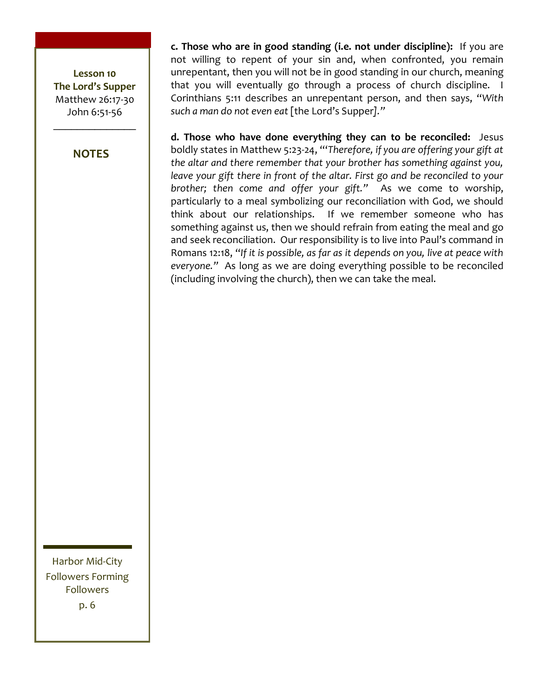**NOTES** 

c. Those who are in good standing (i.e. not under discipline): If you are not willing to repent of your sin and, when confronted, you remain unrepentant, then you will not be in good standing in our church, meaning that you will eventually go through a process of church discipline. I Corinthians 5:11 describes an unrepentant person, and then says, "With such a man do not even eat [the Lord's Supper]."

d. Those who have done everything they can to be reconciled: Jesus boldly states in Matthew 5:23-24, "Therefore, if you are offering your gift at the altar and there remember that your brother has something against you, leave your gift there in front of the altar. First go and be reconciled to your brother; then come and offer your gift." As we come to worship, particularly to a meal symbolizing our reconciliation with God, we should think about our relationships. If we remember someone who has something against us, then we should refrain from eating the meal and go and seek reconciliation. Our responsibility is to live into Paul's command in Romans 12:18, "If it is possible, as far as it depends on you, live at peace with everyone." As long as we are doing everything possible to be reconciled (including involving the church), then we can take the meal.